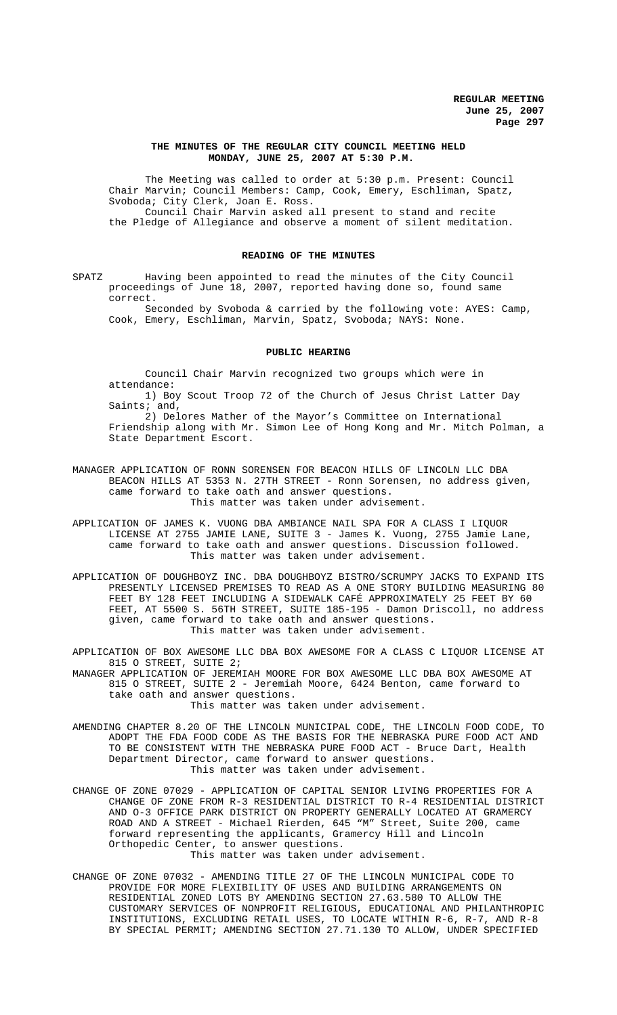### **THE MINUTES OF THE REGULAR CITY COUNCIL MEETING HELD MONDAY, JUNE 25, 2007 AT 5:30 P.M.**

The Meeting was called to order at 5:30 p.m. Present: Council Chair Marvin; Council Members: Camp, Cook, Emery, Eschliman, Spatz, Svoboda; City Clerk, Joan E. Ross. Council Chair Marvin asked all present to stand and recite the Pledge of Allegiance and observe a moment of silent meditation.

## **READING OF THE MINUTES**

SPATZ Having been appointed to read the minutes of the City Council proceedings of June 18, 2007, reported having done so, found same correct.

Seconded by Svoboda & carried by the following vote: AYES: Camp, Cook, Emery, Eschliman, Marvin, Spatz, Svoboda; NAYS: None.

#### **PUBLIC HEARING**

Council Chair Marvin recognized two groups which were in attendance:

1) Boy Scout Troop 72 of the Church of Jesus Christ Latter Day Saints; and,

2) Delores Mather of the Mayor's Committee on International Friendship along with Mr. Simon Lee of Hong Kong and Mr. Mitch Polman, a State Department Escort.

- MANAGER APPLICATION OF RONN SORENSEN FOR BEACON HILLS OF LINCOLN LLC DBA BEACON HILLS AT 5353 N. 27TH STREET - Ronn Sorensen, no address given, came forward to take oath and answer questions. This matter was taken under advisement.
- APPLICATION OF JAMES K. VUONG DBA AMBIANCE NAIL SPA FOR A CLASS I LIQUOR LICENSE AT 2755 JAMIE LANE, SUITE 3 - James K. Vuong, 2755 Jamie Lane, came forward to take oath and answer questions. Discussion followed. This matter was taken under advisement.
- APPLICATION OF DOUGHBOYZ INC. DBA DOUGHBOYZ BISTRO/SCRUMPY JACKS TO EXPAND ITS PRESENTLY LICENSED PREMISES TO READ AS A ONE STORY BUILDING MEASURING 80 FEET BY 128 FEET INCLUDING A SIDEWALK CAFÉ APPROXIMATELY 25 FEET BY 60 FEET, AT 5500 S. 56TH STREET, SUITE 185-195 - Damon Driscoll, no address given, came forward to take oath and answer questions. This matter was taken under advisement.
- APPLICATION OF BOX AWESOME LLC DBA BOX AWESOME FOR A CLASS C LIQUOR LICENSE AT 815 O STREET, SUITE 2;

MANAGER APPLICATION OF JEREMIAH MOORE FOR BOX AWESOME LLC DBA BOX AWESOME AT 815 O STREET, SUITE 2 - Jeremiah Moore, 6424 Benton, came forward to take oath and answer questions.

This matter was taken under advisement.

- AMENDING CHAPTER 8.20 OF THE LINCOLN MUNICIPAL CODE, THE LINCOLN FOOD CODE, TO ADOPT THE FDA FOOD CODE AS THE BASIS FOR THE NEBRASKA PURE FOOD ACT AND TO BE CONSISTENT WITH THE NEBRASKA PURE FOOD ACT - Bruce Dart, Health Department Director, came forward to answer questions. This matter was taken under advisement.
- CHANGE OF ZONE 07029 APPLICATION OF CAPITAL SENIOR LIVING PROPERTIES FOR A CHANGE OF ZONE FROM R-3 RESIDENTIAL DISTRICT TO R-4 RESIDENTIAL DISTRICT AND O-3 OFFICE PARK DISTRICT ON PROPERTY GENERALLY LOCATED AT GRAMERCY ROAD AND A STREET - Michael Rierden, 645 "M" Street, Suite 200, came forward representing the applicants, Gramercy Hill and Lincoln Orthopedic Center, to answer questions. This matter was taken under advisement.
- CHANGE OF ZONE 07032 AMENDING TITLE 27 OF THE LINCOLN MUNICIPAL CODE TO PROVIDE FOR MORE FLEXIBILITY OF USES AND BUILDING ARRANGEMENTS ON RESIDENTIAL ZONED LOTS BY AMENDING SECTION 27.63.580 TO ALLOW THE CUSTOMARY SERVICES OF NONPROFIT RELIGIOUS, EDUCATIONAL AND PHILANTHROPIC INSTITUTIONS, EXCLUDING RETAIL USES, TO LOCATE WITHIN R-6, R-7, AND R-8 BY SPECIAL PERMIT; AMENDING SECTION 27.71.130 TO ALLOW, UNDER SPECIFIED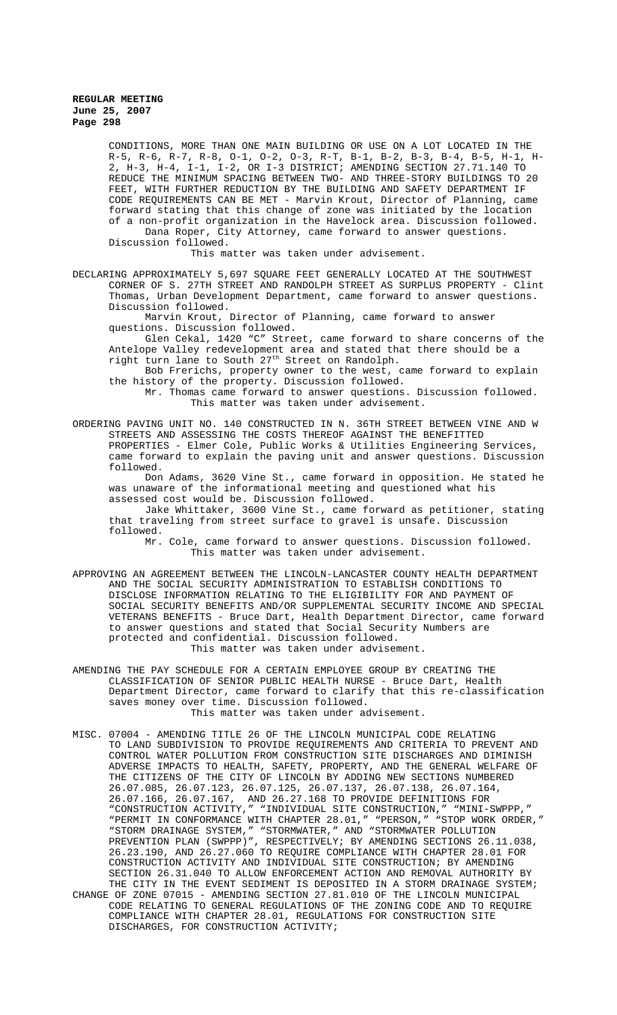CONDITIONS, MORE THAN ONE MAIN BUILDING OR USE ON A LOT LOCATED IN THE R-5, R-6, R-7, R-8, O-1, O-2, O-3, R-T, B-1, B-2, B-3, B-4, B-5, H-1, H-2, H-3, H-4, I-1, I-2, OR I-3 DISTRICT; AMENDING SECTION 27.71.140 TO REDUCE THE MINIMUM SPACING BETWEEN TWO- AND THREE-STORY BUILDINGS TO 20 FEET, WITH FURTHER REDUCTION BY THE BUILDING AND SAFETY DEPARTMENT IF CODE REQUIREMENTS CAN BE MET - Marvin Krout, Director of Planning, came forward stating that this change of zone was initiated by the location of a non-profit organization in the Havelock area. Discussion followed. Dana Roper, City Attorney, came forward to answer questions. Discussion followed.

This matter was taken under advisement.

DECLARING APPROXIMATELY 5,697 SQUARE FEET GENERALLY LOCATED AT THE SOUTHWEST CORNER OF S. 27TH STREET AND RANDOLPH STREET AS SURPLUS PROPERTY - Clint Thomas, Urban Development Department, came forward to answer questions. Discussion followed.

Marvin Krout, Director of Planning, came forward to answer questions. Discussion followed.

Glen Cekal, 1420 "C" Street, came forward to share concerns of the Antelope Valley redevelopment area and stated that there should be a right turn lane to South 27th Street on Randolph.

Bob Frerichs, property owner to the west, came forward to explain the history of the property. Discussion followed.

Mr. Thomas came forward to answer questions. Discussion followed. This matter was taken under advisement.

ORDERING PAVING UNIT NO. 140 CONSTRUCTED IN N. 36TH STREET BETWEEN VINE AND W STREETS AND ASSESSING THE COSTS THEREOF AGAINST THE BENEFITTED PROPERTIES - Elmer Cole, Public Works & Utilities Engineering Services, came forward to explain the paving unit and answer questions. Discussion followed.

Don Adams, 3620 Vine St., came forward in opposition. He stated he was unaware of the informational meeting and questioned what his assessed cost would be. Discussion followed.

Jake Whittaker, 3600 Vine St., came forward as petitioner, stating that traveling from street surface to gravel is unsafe. Discussion followed.

Mr. Cole, came forward to answer questions. Discussion followed. This matter was taken under advisement.

APPROVING AN AGREEMENT BETWEEN THE LINCOLN-LANCASTER COUNTY HEALTH DEPARTMENT AND THE SOCIAL SECURITY ADMINISTRATION TO ESTABLISH CONDITIONS TO DISCLOSE INFORMATION RELATING TO THE ELIGIBILITY FOR AND PAYMENT OF SOCIAL SECURITY BENEFITS AND/OR SUPPLEMENTAL SECURITY INCOME AND SPECIAL VETERANS BENEFITS - Bruce Dart, Health Department Director, came forward to answer questions and stated that Social Security Numbers are protected and confidential. Discussion followed.

This matter was taken under advisement.

AMENDING THE PAY SCHEDULE FOR A CERTAIN EMPLOYEE GROUP BY CREATING THE CLASSIFICATION OF SENIOR PUBLIC HEALTH NURSE - Bruce Dart, Health Department Director, came forward to clarify that this re-classification saves money over time. Discussion followed. This matter was taken under advisement.

MISC. 07004 - AMENDING TITLE 26 OF THE LINCOLN MUNICIPAL CODE RELATING TO LAND SUBDIVISION TO PROVIDE REQUIREMENTS AND CRITERIA TO PREVENT AND CONTROL WATER POLLUTION FROM CONSTRUCTION SITE DISCHARGES AND DIMINISH ADVERSE IMPACTS TO HEALTH, SAFETY, PROPERTY, AND THE GENERAL WELFARE OF THE CITIZENS OF THE CITY OF LINCOLN BY ADDING NEW SECTIONS NUMBERED 26.07.085, 26.07.123, 26.07.125, 26.07.137, 26.07.138, 26.07.164, 26.07.166, 26.07.167, AND 26.27.168 TO PROVIDE DEFINITIONS FOR "CONSTRUCTION ACTIVITY," "INDIVIDUAL SITE CONSTRUCTION," "MINI-SWPPP," "PERMIT IN CONFORMANCE WITH CHAPTER 28.01," "PERSON," "STOP WORK ORDER," "STORM DRAINAGE SYSTEM," "STORMWATER," AND "STORMWATER POLLUTION PREVENTION PLAN (SWPPP)", RESPECTIVELY; BY AMENDING SECTIONS 26.11.038, 26.23.190, AND 26.27.060 TO REQUIRE COMPLIANCE WITH CHAPTER 28.01 FOR CONSTRUCTION ACTIVITY AND INDIVIDUAL SITE CONSTRUCTION; BY AMENDING SECTION 26.31.040 TO ALLOW ENFORCEMENT ACTION AND REMOVAL AUTHORITY BY THE CITY IN THE EVENT SEDIMENT IS DEPOSITED IN A STORM DRAINAGE SYSTEM;

CHANGE OF ZONE 07015 - AMENDING SECTION 27.81.010 OF THE LINCOLN MUNICIPAL CODE RELATING TO GENERAL REGULATIONS OF THE ZONING CODE AND TO REQUIRE COMPLIANCE WITH CHAPTER 28.01, REGULATIONS FOR CONSTRUCTION SITE DISCHARGES, FOR CONSTRUCTION ACTIVITY;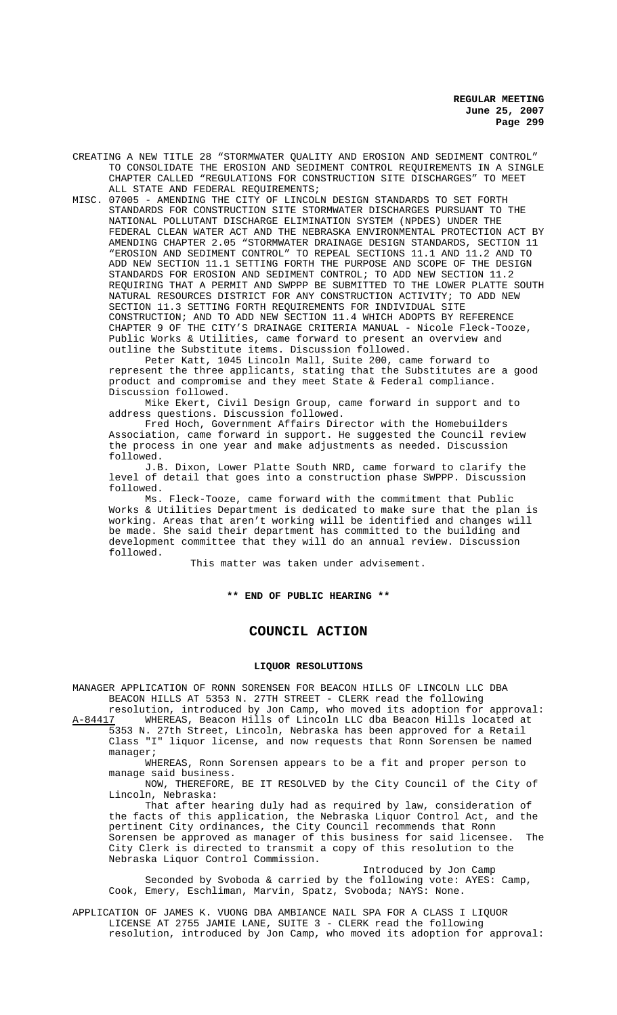CREATING A NEW TITLE 28 "STORMWATER QUALITY AND EROSION AND SEDIMENT CONTROL" TO CONSOLIDATE THE EROSION AND SEDIMENT CONTROL REQUIREMENTS IN A SINGLE CHAPTER CALLED "REGULATIONS FOR CONSTRUCTION SITE DISCHARGES" TO MEET ALL STATE AND FEDERAL REQUIREMENTS;

MISC. 07005 - AMENDING THE CITY OF LINCOLN DESIGN STANDARDS TO SET FORTH STANDARDS FOR CONSTRUCTION SITE STORMWATER DISCHARGES PURSUANT TO THE NATIONAL POLLUTANT DISCHARGE ELIMINATION SYSTEM (NPDES) UNDER THE FEDERAL CLEAN WATER ACT AND THE NEBRASKA ENVIRONMENTAL PROTECTION ACT BY AMENDING CHAPTER 2.05 "STORMWATER DRAINAGE DESIGN STANDARDS, SECTION 11 "EROSION AND SEDIMENT CONTROL" TO REPEAL SECTIONS 11.1 AND 11.2 AND TO ADD NEW SECTION 11.1 SETTING FORTH THE PURPOSE AND SCOPE OF THE DESIGN STANDARDS FOR EROSION AND SEDIMENT CONTROL; TO ADD NEW SECTION 11.2 REQUIRING THAT A PERMIT AND SWPPP BE SUBMITTED TO THE LOWER PLATTE SOUTH NATURAL RESOURCES DISTRICT FOR ANY CONSTRUCTION ACTIVITY; TO ADD NEW SECTION 11.3 SETTING FORTH REQUIREMENTS FOR INDIVIDUAL SITE CONSTRUCTION; AND TO ADD NEW SECTION 11.4 WHICH ADOPTS BY REFERENCE CHAPTER 9 OF THE CITY'S DRAINAGE CRITERIA MANUAL - Nicole Fleck-Tooze, Public Works & Utilities, came forward to present an overview and outline the Substitute items. Discussion followed.

Peter Katt, 1045 Lincoln Mall, Suite 200, came forward to represent the three applicants, stating that the Substitutes are a good product and compromise and they meet State & Federal compliance. Discussion followed.

Mike Ekert, Civil Design Group, came forward in support and to address questions. Discussion followed.

Fred Hoch, Government Affairs Director with the Homebuilders Association, came forward in support. He suggested the Council review the process in one year and make adjustments as needed. Discussion followed.

J.B. Dixon, Lower Platte South NRD, came forward to clarify the level of detail that goes into a construction phase SWPPP. Discussion followed.

Ms. Fleck-Tooze, came forward with the commitment that Public Works & Utilities Department is dedicated to make sure that the plan is working. Areas that aren't working will be identified and changes will be made. She said their department has committed to the building and development committee that they will do an annual review. Discussion followed.

This matter was taken under advisement.

# **\*\* END OF PUBLIC HEARING \*\***

# **COUNCIL ACTION**

### **LIQUOR RESOLUTIONS**

MANAGER APPLICATION OF RONN SORENSEN FOR BEACON HILLS OF LINCOLN LLC DBA BEACON HILLS AT 5353 N. 27TH STREET - CLERK read the following

resolution, introduced by Jon Camp, who moved its adoption for approval:<br>A-84417 WHEREAS, Beacon Hills of Lincoln LLC dba Beacon Hills located at WHEREAS, Beacon Hills of Lincoln LLC dba Beacon Hills located at 5353 N. 27th Street, Lincoln, Nebraska has been approved for a Retail Class "I" liquor license, and now requests that Ronn Sorensen be named

manager; WHEREAS, Ronn Sorensen appears to be a fit and proper person to

manage said business. NOW, THEREFORE, BE IT RESOLVED by the City Council of the City of

Lincoln, Nebraska: That after hearing duly had as required by law, consideration of

the facts of this application, the Nebraska Liquor Control Act, and the pertinent City ordinances, the City Council recommends that Ronn Sorensen be approved as manager of this business for said licensee. The City Clerk is directed to transmit a copy of this resolution to the Nebraska Liquor Control Commission.

Introduced by Jon Camp Seconded by Svoboda & carried by the following vote: AYES: Camp, Cook, Emery, Eschliman, Marvin, Spatz, Svoboda; NAYS: None.

APPLICATION OF JAMES K. VUONG DBA AMBIANCE NAIL SPA FOR A CLASS I LIQUOR LICENSE AT 2755 JAMIE LANE, SUITE 3 - CLERK read the following resolution, introduced by Jon Camp, who moved its adoption for approval: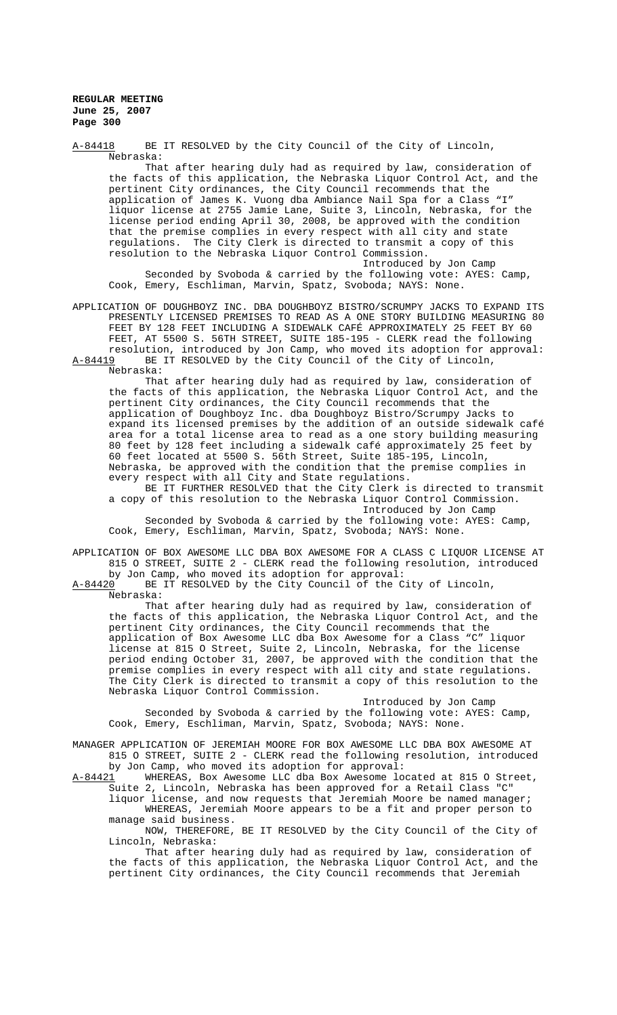A-84418 BE IT RESOLVED by the City Council of the City of Lincoln, Nebraska: That after hearing duly had as required by law, consideration of the facts of this application, the Nebraska Liquor Control Act, and the pertinent City ordinances, the City Council recommends that the application of James K. Vuong dba Ambiance Nail Spa for a Class "I" liquor license at 2755 Jamie Lane, Suite 3, Lincoln, Nebraska, for the license period ending April 30, 2008, be approved with the condition that the premise complies in every respect with all city and state regulations. The City Clerk is directed to transmit a copy of this resolution to the Nebraska Liquor Control Commission. Introduced by Jon Camp

Seconded by Svoboda & carried by the following vote: AYES: Camp, Cook, Emery, Eschliman, Marvin, Spatz, Svoboda; NAYS: None.

APPLICATION OF DOUGHBOYZ INC. DBA DOUGHBOYZ BISTRO/SCRUMPY JACKS TO EXPAND ITS PRESENTLY LICENSED PREMISES TO READ AS A ONE STORY BUILDING MEASURING 80 FEET BY 128 FEET INCLUDING A SIDEWALK CAFÉ APPROXIMATELY 25 FEET BY 60 FEET, AT 5500 S. 56TH STREET, SUITE 185-195 - CLERK read the following resolution, introduced by Jon Camp, who moved its adoption for approval: A-84419 BE IT RESOLVED by the City Council of the City of Lincoln,

Nebraska:

That after hearing duly had as required by law, consideration of the facts of this application, the Nebraska Liquor Control Act, and the pertinent City ordinances, the City Council recommends that the application of Doughboyz Inc. dba Doughboyz Bistro/Scrumpy Jacks to expand its licensed premises by the addition of an outside sidewalk café area for a total license area to read as a one story building measuring 80 feet by 128 feet including a sidewalk café approximately 25 feet by 60 feet located at 5500 S. 56th Street, Suite 185-195, Lincoln, Nebraska, be approved with the condition that the premise complies in every respect with all City and State regulations.

BE IT FURTHER RESOLVED that the City Clerk is directed to transmit a copy of this resolution to the Nebraska Liquor Control Commission. Introduced by Jon Camp

Seconded by Svoboda & carried by the following vote: AYES: Camp, Cook, Emery, Eschliman, Marvin, Spatz, Svoboda; NAYS: None.

APPLICATION OF BOX AWESOME LLC DBA BOX AWESOME FOR A CLASS C LIQUOR LICENSE AT 815 O STREET, SUITE 2 - CLERK read the following resolution, introduced by Jon Camp, who moved its adoption for approval:

A-84420 BE IT RESOLVED by the City Council of the City of Lincoln, Nebraska:

That after hearing duly had as required by law, consideration of the facts of this application, the Nebraska Liquor Control Act, and the pertinent City ordinances, the City Council recommends that the application of Box Awesome LLC dba Box Awesome for a Class "C" liquor license at 815 O Street, Suite 2, Lincoln, Nebraska, for the license period ending October 31, 2007, be approved with the condition that the premise complies in every respect with all city and state regulations. The City Clerk is directed to transmit a copy of this resolution to the Nebraska Liquor Control Commission.

Introduced by Jon Camp Seconded by Svoboda & carried by the following vote: AYES: Camp, Cook, Emery, Eschliman, Marvin, Spatz, Svoboda; NAYS: None.

MANAGER APPLICATION OF JEREMIAH MOORE FOR BOX AWESOME LLC DBA BOX AWESOME AT 815 O STREET, SUITE 2 - CLERK read the following resolution, introduced by Jon Camp, who moved its adoption for approval:

A-84421 WHEREAS, Box Awesome LLC dba Box Awesome located at 815 O Street, Suite 2, Lincoln, Nebraska has been approved for a Retail Class "C"

liquor license, and now requests that Jeremiah Moore be named manager; WHEREAS, Jeremiah Moore appears to be a fit and proper person to manage said business.

NOW, THEREFORE, BE IT RESOLVED by the City Council of the City of Lincoln, Nebraska:

That after hearing duly had as required by law, consideration of the facts of this application, the Nebraska Liquor Control Act, and the pertinent City ordinances, the City Council recommends that Jeremiah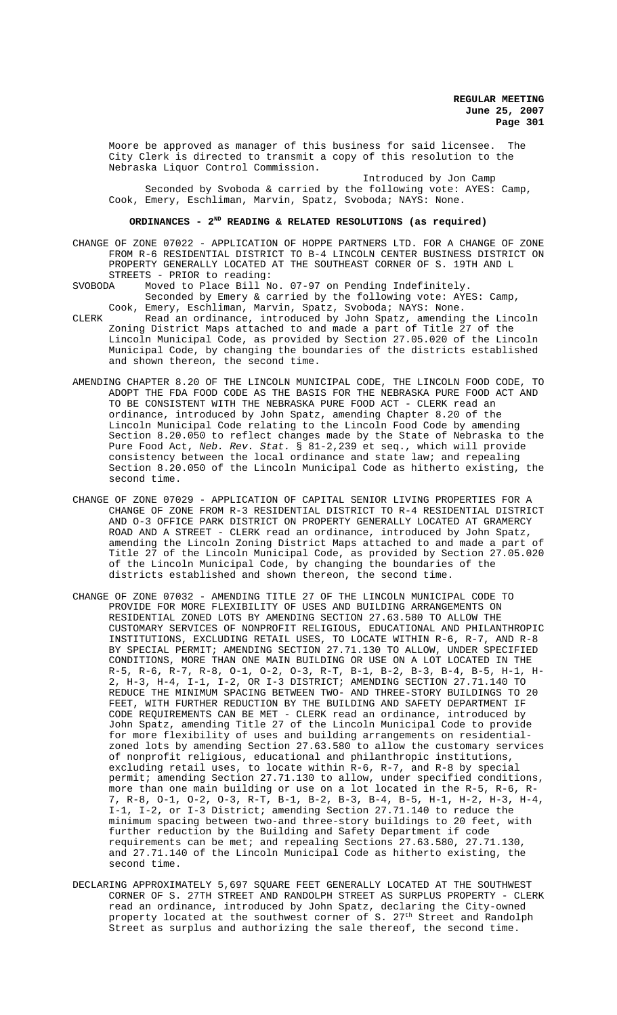Moore be approved as manager of this business for said licensee. The City Clerk is directed to transmit a copy of this resolution to the Nebraska Liquor Control Commission.

Introduced by Jon Camp Seconded by Svoboda & carried by the following vote: AYES: Camp, Cook, Emery, Eschliman, Marvin, Spatz, Svoboda; NAYS: None.

# ORDINANCES - 2<sup>ND</sup> READING & RELATED RESOLUTIONS (as required)

CHANGE OF ZONE 07022 - APPLICATION OF HOPPE PARTNERS LTD. FOR A CHANGE OF ZONE FROM R-6 RESIDENTIAL DISTRICT TO B-4 LINCOLN CENTER BUSINESS DISTRICT ON PROPERTY GENERALLY LOCATED AT THE SOUTHEAST CORNER OF S. 19TH AND L STREETS - PRIOR to reading:

- SVOBODA Moved to Place Bill No. 07-97 on Pending Indefinitely. Seconded by Emery & carried by the following vote: AYES: Camp, Cook, Emery, Eschliman, Marvin, Spatz, Svoboda; NAYS: None.
- CLERK Read an ordinance, introduced by John Spatz, amending the Lincoln Zoning District Maps attached to and made a part of Title 27 of the Lincoln Municipal Code, as provided by Section 27.05.020 of the Lincoln Municipal Code, by changing the boundaries of the districts established and shown thereon, the second time.
- AMENDING CHAPTER 8.20 OF THE LINCOLN MUNICIPAL CODE, THE LINCOLN FOOD CODE, TO ADOPT THE FDA FOOD CODE AS THE BASIS FOR THE NEBRASKA PURE FOOD ACT AND TO BE CONSISTENT WITH THE NEBRASKA PURE FOOD ACT - CLERK read an ordinance, introduced by John Spatz, amending Chapter 8.20 of the Lincoln Municipal Code relating to the Lincoln Food Code by amending Section 8.20.050 to reflect changes made by the State of Nebraska to the Pure Food Act, *Neb. Rev. Stat.* § 81-2,239 et seq., which will provide consistency between the local ordinance and state law; and repealing Section 8.20.050 of the Lincoln Municipal Code as hitherto existing, the second time.
- CHANGE OF ZONE 07029 APPLICATION OF CAPITAL SENIOR LIVING PROPERTIES FOR A CHANGE OF ZONE FROM R-3 RESIDENTIAL DISTRICT TO R-4 RESIDENTIAL DISTRICT AND O-3 OFFICE PARK DISTRICT ON PROPERTY GENERALLY LOCATED AT GRAMERCY ROAD AND A STREET - CLERK read an ordinance, introduced by John Spatz, amending the Lincoln Zoning District Maps attached to and made a part of Title 27 of the Lincoln Municipal Code, as provided by Section 27.05.020 of the Lincoln Municipal Code, by changing the boundaries of the districts established and shown thereon, the second time.
- CHANGE OF ZONE 07032 AMENDING TITLE 27 OF THE LINCOLN MUNICIPAL CODE TO PROVIDE FOR MORE FLEXIBILITY OF USES AND BUILDING ARRANGEMENTS ON RESIDENTIAL ZONED LOTS BY AMENDING SECTION 27.63.580 TO ALLOW THE CUSTOMARY SERVICES OF NONPROFIT RELIGIOUS, EDUCATIONAL AND PHILANTHROPIC INSTITUTIONS, EXCLUDING RETAIL USES, TO LOCATE WITHIN R-6, R-7, AND R-8 BY SPECIAL PERMIT; AMENDING SECTION 27.71.130 TO ALLOW, UNDER SPECIFIED CONDITIONS, MORE THAN ONE MAIN BUILDING OR USE ON A LOT LOCATED IN THE R-5, R-6, R-7, R-8, O-1, O-2, O-3, R-T, B-1, B-2, B-3, B-4, B-5, H-1, H-2, H-3, H-4, I-1, I-2, OR I-3 DISTRICT; AMENDING SECTION 27.71.140 TO REDUCE THE MINIMUM SPACING BETWEEN TWO- AND THREE-STORY BUILDINGS TO 20 FEET, WITH FURTHER REDUCTION BY THE BUILDING AND SAFETY DEPARTMENT IF CODE REQUIREMENTS CAN BE MET - CLERK read an ordinance, introduced by John Spatz, amending Title 27 of the Lincoln Municipal Code to provide for more flexibility of uses and building arrangements on residentialzoned lots by amending Section 27.63.580 to allow the customary services of nonprofit religious, educational and philanthropic institutions, excluding retail uses, to locate within R-6, R-7, and R-8 by special permit; amending Section 27.71.130 to allow, under specified conditions, more than one main building or use on a lot located in the R-5, R-6, R-7, R-8, O-1, O-2, O-3, R-T, B-1, B-2, B-3, B-4, B-5, H-1, H-2, H-3, H-4, I-1, I-2, or I-3 District; amending Section 27.71.140 to reduce the minimum spacing between two-and three-story buildings to 20 feet, with further reduction by the Building and Safety Department if code requirements can be met; and repealing Sections 27.63.580, 27.71.130, and 27.71.140 of the Lincoln Municipal Code as hitherto existing, the second time.
- DECLARING APPROXIMATELY 5,697 SQUARE FEET GENERALLY LOCATED AT THE SOUTHWEST CORNER OF S. 27TH STREET AND RANDOLPH STREET AS SURPLUS PROPERTY - CLERK read an ordinance, introduced by John Spatz, declaring the City-owned property located at the southwest corner of S.  $27^{\rm th}$  Street and Randolph Street as surplus and authorizing the sale thereof, the second time.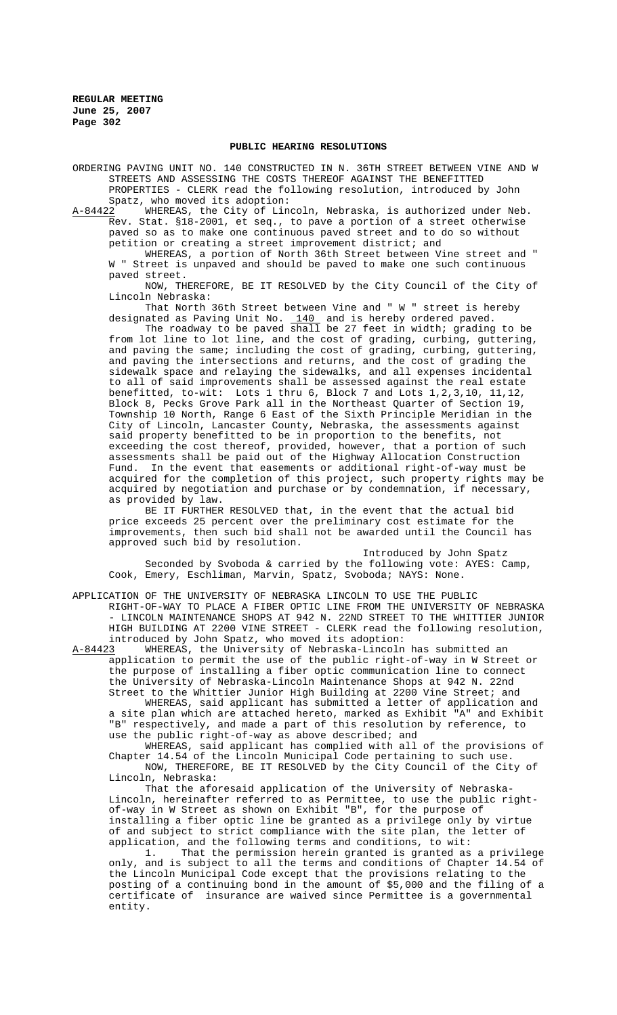#### **PUBLIC HEARING RESOLUTIONS**

ORDERING PAVING UNIT NO. 140 CONSTRUCTED IN N. 36TH STREET BETWEEN VINE AND W STREETS AND ASSESSING THE COSTS THEREOF AGAINST THE BENEFITTED PROPERTIES - CLERK read the following resolution, introduced by John Spatz, who moved its adoption:

A-84422 WHEREAS, the City of Lincoln, Nebraska, is authorized under Neb. Rev. Stat. §18-2001, et seq., to pave a portion of a street otherwise paved so as to make one continuous paved street and to do so without petition or creating a street improvement district; and

WHEREAS, a portion of North 36th Street between Vine street and " W " Street is unpaved and should be paved to make one such continuous paved street.

NOW, THEREFORE, BE IT RESOLVED by the City Council of the City of Lincoln Nebraska:

That North 36th Street between Vine and " W " street is hereby designated as Paving Unit No. 140 and is hereby ordered paved.

The roadway to be paved shall be 27 feet in width; grading to be from lot line to lot line, and the cost of grading, curbing, guttering, and paving the same; including the cost of grading, curbing, guttering, and paving the intersections and returns, and the cost of grading the sidewalk space and relaying the sidewalks, and all expenses incidental to all of said improvements shall be assessed against the real estate benefitted, to-wit: Lots 1 thru 6, Block 7 and Lots 1,2,3,10, 11,12, Block 8, Pecks Grove Park all in the Northeast Quarter of Section 19, Township 10 North, Range 6 East of the Sixth Principle Meridian in the City of Lincoln, Lancaster County, Nebraska, the assessments against said property benefitted to be in proportion to the benefits, not exceeding the cost thereof, provided, however, that a portion of such assessments shall be paid out of the Highway Allocation Construction Fund. In the event that easements or additional right-of-way must be acquired for the completion of this project, such property rights may be acquired by negotiation and purchase or by condemnation, if necessary, as provided by law.

BE IT FURTHER RESOLVED that, in the event that the actual bid price exceeds 25 percent over the preliminary cost estimate for the improvements, then such bid shall not be awarded until the Council has approved such bid by resolution.

Introduced by John Spatz Seconded by Svoboda & carried by the following vote: AYES: Camp, Cook, Emery, Eschliman, Marvin, Spatz, Svoboda; NAYS: None.

APPLICATION OF THE UNIVERSITY OF NEBRASKA LINCOLN TO USE THE PUBLIC RIGHT-OF-WAY TO PLACE A FIBER OPTIC LINE FROM THE UNIVERSITY OF NEBRASKA - LINCOLN MAINTENANCE SHOPS AT 942 N. 22ND STREET TO THE WHITTIER JUNIOR HIGH BUILDING AT 2200 VINE STREET - CLERK read the following resolution, introduced by John Spatz, who moved its adoption:

A-84423 WHEREAS, the University of Nebraska-Lincoln has submitted an application to permit the use of the public right-of-way in W Street or the purpose of installing a fiber optic communication line to connect the University of Nebraska-Lincoln Maintenance Shops at 942 N. 22nd Street to the Whittier Junior High Building at 2200 Vine Street; and

WHEREAS, said applicant has submitted a letter of application and a site plan which are attached hereto, marked as Exhibit "A" and Exhibit "B" respectively, and made a part of this resolution by reference, to use the public right-of-way as above described; and

WHEREAS, said applicant has complied with all of the provisions of Chapter 14.54 of the Lincoln Municipal Code pertaining to such use. NOW, THEREFORE, BE IT RESOLVED by the City Council of the City of Lincoln, Nebraska:

That the aforesaid application of the University of Nebraska-Lincoln, hereinafter referred to as Permittee, to use the public rightof-way in W Street as shown on Exhibit "B", for the purpose of installing a fiber optic line be granted as a privilege only by virtue of and subject to strict compliance with the site plan, the letter of application, and the following terms and conditions, to wit:

1. That the permission herein granted is granted as a privilege only, and is subject to all the terms and conditions of Chapter 14.54 of the Lincoln Municipal Code except that the provisions relating to the posting of a continuing bond in the amount of \$5,000 and the filing of a certificate of insurance are waived since Permittee is a governmental entity.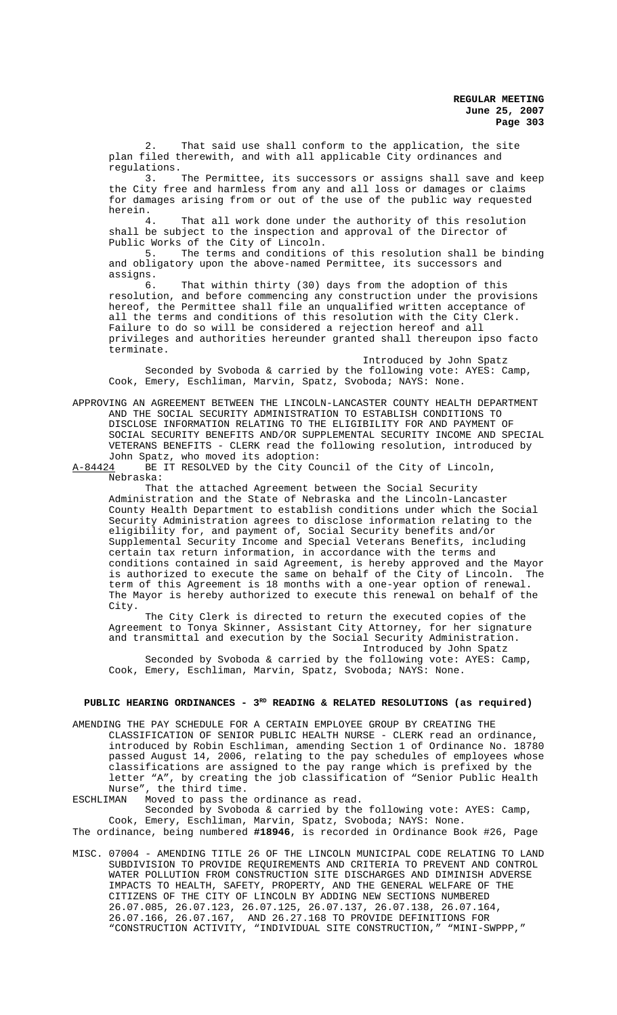2. That said use shall conform to the application, the site plan filed therewith, and with all applicable City ordinances and

regulations.<br>3. The Permittee, its successors or assigns shall save and keep the City free and harmless from any and all loss or damages or claims for damages arising from or out of the use of the public way requested herein.

4. That all work done under the authority of this resolution shall be subject to the inspection and approval of the Director of Public Works of the City of Lincoln.<br>5. The terms and conditions

The terms and conditions of this resolution shall be binding and obligatory upon the above-named Permittee, its successors and assigns.<br>6.

That within thirty (30) days from the adoption of this resolution, and before commencing any construction under the provisions hereof, the Permittee shall file an unqualified written acceptance of all the terms and conditions of this resolution with the City Clerk. Failure to do so will be considered a rejection hereof and all privileges and authorities hereunder granted shall thereupon ipso facto terminate.

Introduced by John Spatz Seconded by Svoboda & carried by the following vote: AYES: Camp, Cook, Emery, Eschliman, Marvin, Spatz, Svoboda; NAYS: None.

APPROVING AN AGREEMENT BETWEEN THE LINCOLN-LANCASTER COUNTY HEALTH DEPARTMENT AND THE SOCIAL SECURITY ADMINISTRATION TO ESTABLISH CONDITIONS TO DISCLOSE INFORMATION RELATING TO THE ELIGIBILITY FOR AND PAYMENT OF SOCIAL SECURITY BENEFITS AND/OR SUPPLEMENTAL SECURITY INCOME AND SPECIAL VETERANS BENEFITS - CLERK read the following resolution, introduced by John Spatz, who moved its adoption:<br>A-84424 BE IT RESOLVED by the City Co

BE IT RESOLVED by the City Council of the City of Lincoln, Nebraska:

That the attached Agreement between the Social Security Administration and the State of Nebraska and the Lincoln-Lancaster County Health Department to establish conditions under which the Social Security Administration agrees to disclose information relating to the eligibility for, and payment of, Social Security benefits and/or Supplemental Security Income and Special Veterans Benefits, including certain tax return information, in accordance with the terms and conditions contained in said Agreement, is hereby approved and the Mayor is authorized to execute the same on behalf of the City of Lincoln. The term of this Agreement is 18 months with a one-year option of renewal. The Mayor is hereby authorized to execute this renewal on behalf of the City.

The City Clerk is directed to return the executed copies of the Agreement to Tonya Skinner, Assistant City Attorney, for her signature and transmittal and execution by the Social Security Administration. Introduced by John Spatz

Seconded by Svoboda & carried by the following vote: AYES: Camp, Cook, Emery, Eschliman, Marvin, Spatz, Svoboda; NAYS: None.

# PUBLIC HEARING ORDINANCES - 3<sup>RD</sup> READING & RELATED RESOLUTIONS (as required)

AMENDING THE PAY SCHEDULE FOR A CERTAIN EMPLOYEE GROUP BY CREATING THE CLASSIFICATION OF SENIOR PUBLIC HEALTH NURSE - CLERK read an ordinance, introduced by Robin Eschliman, amending Section 1 of Ordinance No. 18780 passed August 14, 2006, relating to the pay schedules of employees whose classifications are assigned to the pay range which is prefixed by the letter "A", by creating the job classification of "Senior Public Health Nurse", the third time.<br>ESCHLIMAN Moved to pass the

Moved to pass the ordinance as read.

Seconded by Svoboda & carried by the following vote: AYES: Camp, Cook, Emery, Eschliman, Marvin, Spatz, Svoboda; NAYS: None. The ordinance, being numbered **#18946**, is recorded in Ordinance Book #26, Page

MISC. 07004 - AMENDING TITLE 26 OF THE LINCOLN MUNICIPAL CODE RELATING TO LAND SUBDIVISION TO PROVIDE REQUIREMENTS AND CRITERIA TO PREVENT AND CONTROL WATER POLLUTION FROM CONSTRUCTION SITE DISCHARGES AND DIMINISH ADVERSE IMPACTS TO HEALTH, SAFETY, PROPERTY, AND THE GENERAL WELFARE OF THE CITIZENS OF THE CITY OF LINCOLN BY ADDING NEW SECTIONS NUMBERED 26.07.085, 26.07.123, 26.07.125, 26.07.137, 26.07.138, 26.07.164, 26.07.166, 26.07.167, AND 26.27.168 TO PROVIDE DEFINITIONS FOR "CONSTRUCTION ACTIVITY, "INDIVIDUAL SITE CONSTRUCTION," "MINI-SWPPP,"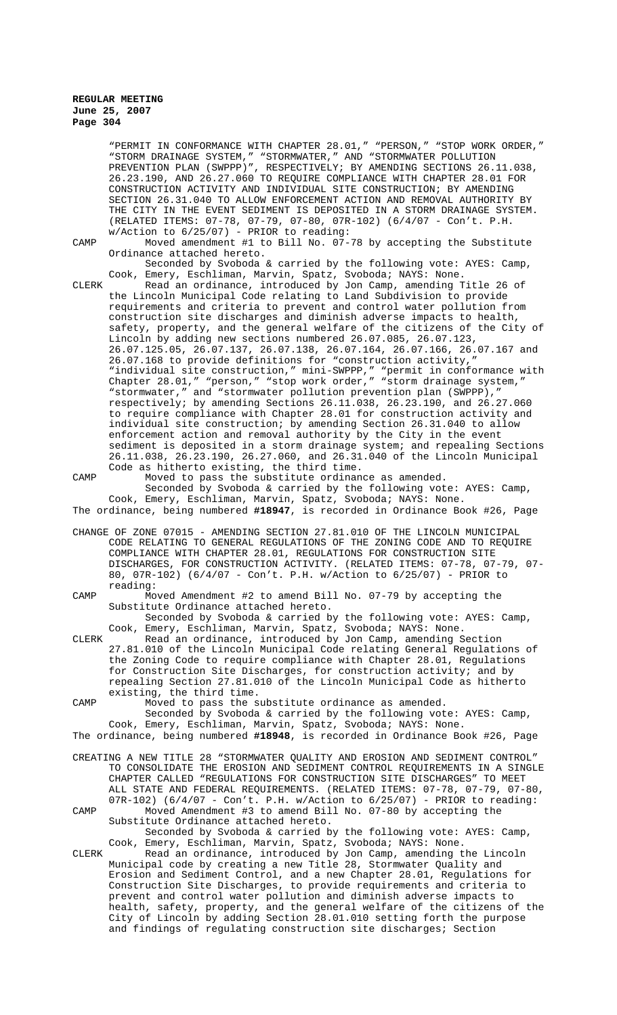"PERMIT IN CONFORMANCE WITH CHAPTER 28.01," "PERSON," "STOP WORK ORDER," "STORM DRAINAGE SYSTEM," "STORMWATER," AND "STORMWATER POLLUTION PREVENTION PLAN (SWPPP)", RESPECTIVELY; BY AMENDING SECTIONS 26.11.038, 26.23.190, AND 26.27.060 TO REQUIRE COMPLIANCE WITH CHAPTER 28.01 FOR CONSTRUCTION ACTIVITY AND INDIVIDUAL SITE CONSTRUCTION; BY AMENDING SECTION 26.31.040 TO ALLOW ENFORCEMENT ACTION AND REMOVAL AUTHORITY BY THE CITY IN THE EVENT SEDIMENT IS DEPOSITED IN A STORM DRAINAGE SYSTEM. (RELATED ITEMS: 07-78, 07-79, 07-80, 07R-102) (6/4/07 - Con't. P.H. w/Action to 6/25/07) - PRIOR to reading:

CAMP Moved amendment #1 to Bill No. 07-78 by accepting the Substitute Ordinance attached hereto.

Seconded by Svoboda & carried by the following vote: AYES: Camp, Cook, Emery, Eschliman, Marvin, Spatz, Svoboda; NAYS: None.

CLERK Read an ordinance, introduced by Jon Camp, amending Title 26 of the Lincoln Municipal Code relating to Land Subdivision to provide requirements and criteria to prevent and control water pollution from construction site discharges and diminish adverse impacts to health, safety, property, and the general welfare of the citizens of the City of Lincoln by adding new sections numbered 26.07.085, 26.07.123, 26.07.125.05, 26.07.137, 26.07.138, 26.07.164, 26.07.166, 26.07.167 and 26.07.168 to provide definitions for "construction activity," "individual site construction," mini-SWPPP," "permit in conformance with Chapter 28.01," "person," "stop work order," "storm drainage system," "stormwater," and "stormwater pollution prevention plan (SWPPP)," respectively; by amending Sections 26.11.038, 26.23.190, and 26.27.060 to require compliance with Chapter 28.01 for construction activity and individual site construction; by amending Section 26.31.040 to allow enforcement action and removal authority by the City in the event sediment is deposited in a storm drainage system; and repealing Sections 26.11.038, 26.23.190, 26.27.060, and 26.31.040 of the Lincoln Municipal Code as hitherto existing, the third time.

CAMP Moved to pass the substitute ordinance as amended. Seconded by Svoboda & carried by the following vote: AYES: Camp, Cook, Emery, Eschliman, Marvin, Spatz, Svoboda; NAYS: None. The ordinance, being numbered **#18947**, is recorded in Ordinance Book #26, Page

CHANGE OF ZONE 07015 - AMENDING SECTION 27.81.010 OF THE LINCOLN MUNICIPAL CODE RELATING TO GENERAL REGULATIONS OF THE ZONING CODE AND TO REQUIRE COMPLIANCE WITH CHAPTER 28.01, REGULATIONS FOR CONSTRUCTION SITE DISCHARGES, FOR CONSTRUCTION ACTIVITY. (RELATED ITEMS: 07-78, 07-79, 07- 80, 07R-102) (6/4/07 - Con't. P.H. w/Action to 6/25/07) - PRIOR to reading:

CAMP Moved Amendment #2 to amend Bill No. 07-79 by accepting the Substitute Ordinance attached hereto.

Seconded by Svoboda & carried by the following vote: AYES: Camp, Cook, Emery, Eschliman, Marvin, Spatz, Svoboda; NAYS: None.

CLERK Read an ordinance, introduced by Jon Camp, amending Section 27.81.010 of the Lincoln Municipal Code relating General Regulations of the Zoning Code to require compliance with Chapter 28.01, Regulations for Construction Site Discharges, for construction activity; and by repealing Section 27.81.010 of the Lincoln Municipal Code as hitherto existing, the third time.

CAMP Moved to pass the substitute ordinance as amended.

Seconded by Svoboda & carried by the following vote: AYES: Camp, Cook, Emery, Eschliman, Marvin, Spatz, Svoboda; NAYS: None.

The ordinance, being numbered **#18948**, is recorded in Ordinance Book #26, Page CREATING A NEW TITLE 28 "STORMWATER QUALITY AND EROSION AND SEDIMENT CONTROL"

TO CONSOLIDATE THE EROSION AND SEDIMENT CONTROL REQUIREMENTS IN A SINGLE CHAPTER CALLED "REGULATIONS FOR CONSTRUCTION SITE DISCHARGES" TO MEET ALL STATE AND FEDERAL REQUIREMENTS. (RELATED ITEMS: 07-78, 07-79, 07-80,  $07R-102$ ) (6/4/07 - Con't. P.H. w/Action to 6/25/07) - PRIOR to reading: CAMP Moved Amendment #3 to amend Bill No. 07-80 by accepting the Substitute Ordinance attached hereto.

Seconded by Svoboda & carried by the following vote: AYES: Camp, Cook, Emery, Eschliman, Marvin, Spatz, Svoboda; NAYS: None.

CLERK Read an ordinance, introduced by Jon Camp, amending the Lincoln Municipal code by creating a new Title 28, Stormwater Quality and Erosion and Sediment Control, and a new Chapter 28.01, Regulations for Construction Site Discharges, to provide requirements and criteria to prevent and control water pollution and diminish adverse impacts to health, safety, property, and the general welfare of the citizens of the City of Lincoln by adding Section 28.01.010 setting forth the purpose and findings of regulating construction site discharges; Section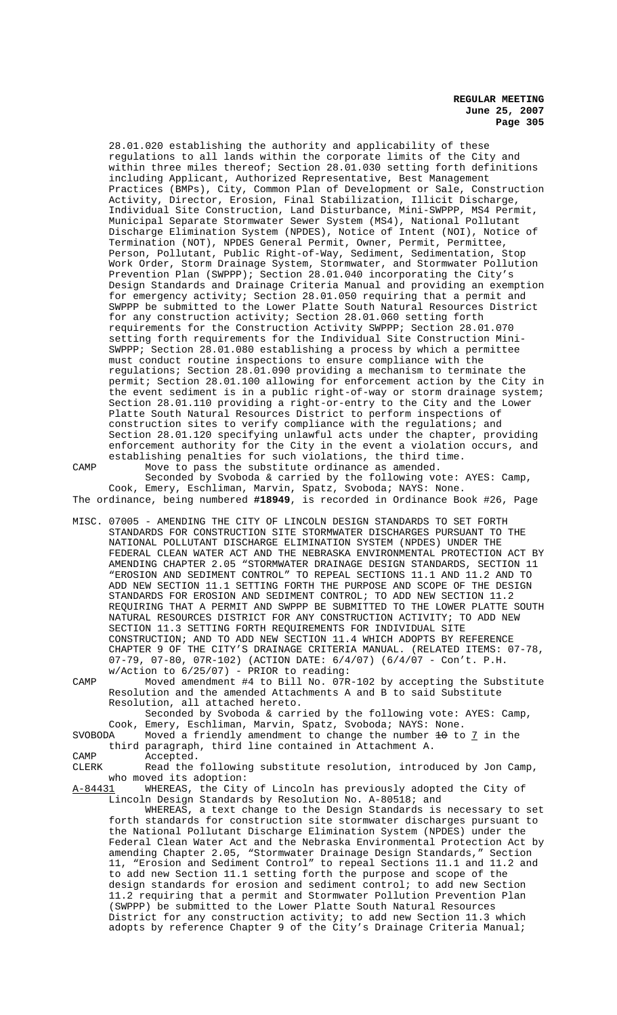28.01.020 establishing the authority and applicability of these regulations to all lands within the corporate limits of the City and within three miles thereof; Section 28.01.030 setting forth definitions including Applicant, Authorized Representative, Best Management Practices (BMPs), City, Common Plan of Development or Sale, Construction Activity, Director, Erosion, Final Stabilization, Illicit Discharge, Individual Site Construction, Land Disturbance, Mini-SWPPP, MS4 Permit, Municipal Separate Stormwater Sewer System (MS4), National Pollutant Discharge Elimination System (NPDES), Notice of Intent (NOI), Notice of Termination (NOT), NPDES General Permit, Owner, Permit, Permittee, Person, Pollutant, Public Right-of-Way, Sediment, Sedimentation, Stop Work Order, Storm Drainage System, Stormwater, and Stormwater Pollution Prevention Plan (SWPPP); Section 28.01.040 incorporating the City's Design Standards and Drainage Criteria Manual and providing an exemption for emergency activity; Section 28.01.050 requiring that a permit and SWPPP be submitted to the Lower Platte South Natural Resources District for any construction activity; Section 28.01.060 setting forth requirements for the Construction Activity SWPPP; Section 28.01.070 setting forth requirements for the Individual Site Construction Mini-SWPPP; Section 28.01.080 establishing a process by which a permittee must conduct routine inspections to ensure compliance with the regulations; Section 28.01.090 providing a mechanism to terminate the permit; Section 28.01.100 allowing for enforcement action by the City in the event sediment is in a public right-of-way or storm drainage system; Section 28.01.110 providing a right-or-entry to the City and the Lower Platte South Natural Resources District to perform inspections of construction sites to verify compliance with the regulations; and Section 28.01.120 specifying unlawful acts under the chapter, providing enforcement authority for the City in the event a violation occurs, and establishing penalties for such violations, the third time. CAMP Move to pass the substitute ordinance as amended.

Seconded by Svoboda & carried by the following vote: AYES: Camp, Cook, Emery, Eschliman, Marvin, Spatz, Svoboda; NAYS: None. The ordinance, being numbered **#18949**, is recorded in Ordinance Book #26, Page

MISC. 07005 - AMENDING THE CITY OF LINCOLN DESIGN STANDARDS TO SET FORTH STANDARDS FOR CONSTRUCTION SITE STORMWATER DISCHARGES PURSUANT TO THE NATIONAL POLLUTANT DISCHARGE ELIMINATION SYSTEM (NPDES) UNDER THE FEDERAL CLEAN WATER ACT AND THE NEBRASKA ENVIRONMENTAL PROTECTION ACT BY AMENDING CHAPTER 2.05 "STORMWATER DRAINAGE DESIGN STANDARDS, SECTION 11 "EROSION AND SEDIMENT CONTROL" TO REPEAL SECTIONS 11.1 AND 11.2 AND TO ADD NEW SECTION 11.1 SETTING FORTH THE PURPOSE AND SCOPE OF THE DESIGN STANDARDS FOR EROSION AND SEDIMENT CONTROL; TO ADD NEW SECTION 11.2 REQUIRING THAT A PERMIT AND SWPPP BE SUBMITTED TO THE LOWER PLATTE SOUTH NATURAL RESOURCES DISTRICT FOR ANY CONSTRUCTION ACTIVITY; TO ADD NEW SECTION 11.3 SETTING FORTH REQUIREMENTS FOR INDIVIDUAL SITE CONSTRUCTION; AND TO ADD NEW SECTION 11.4 WHICH ADOPTS BY REFERENCE CHAPTER 9 OF THE CITY'S DRAINAGE CRITERIA MANUAL. (RELATED ITEMS: 07-78, 07-79, 07-80, 07R-102) (ACTION DATE: 6/4/07) (6/4/07 - Con't. P.H. w/Action to 6/25/07) - PRIOR to reading:

CAMP Moved amendment #4 to Bill No. 07R-102 by accepting the Substitute Resolution and the amended Attachments A and B to said Substitute Resolution, all attached hereto.

Seconded by Svoboda & carried by the following vote: AYES: Camp, Cook, Emery, Eschliman, Marvin, Spatz, Svoboda; NAYS: None.

SVOBODA Moved a friendly amendment to change the number  $\pm 0$  to  $\frac{7}{1}$  in the third paragraph, third line contained in Attachment A.

CAMP Accepted.<br>CLERK Read the Read the following substitute resolution, introduced by Jon Camp, who moved its adoption:

A-84431 WHEREAS, the City of Lincoln has previously adopted the City of Lincoln Design Standards by Resolution No. A-80518; and

WHEREAS, a text change to the Design Standards is necessary to set forth standards for construction site stormwater discharges pursuant to the National Pollutant Discharge Elimination System (NPDES) under the Federal Clean Water Act and the Nebraska Environmental Protection Act by amending Chapter 2.05, "Stormwater Drainage Design Standards," Section 11, "Erosion and Sediment Control" to repeal Sections 11.1 and 11.2 and to add new Section 11.1 setting forth the purpose and scope of the design standards for erosion and sediment control; to add new Section 11.2 requiring that a permit and Stormwater Pollution Prevention Plan (SWPPP) be submitted to the Lower Platte South Natural Resources District for any construction activity; to add new Section 11.3 which adopts by reference Chapter 9 of the City's Drainage Criteria Manual;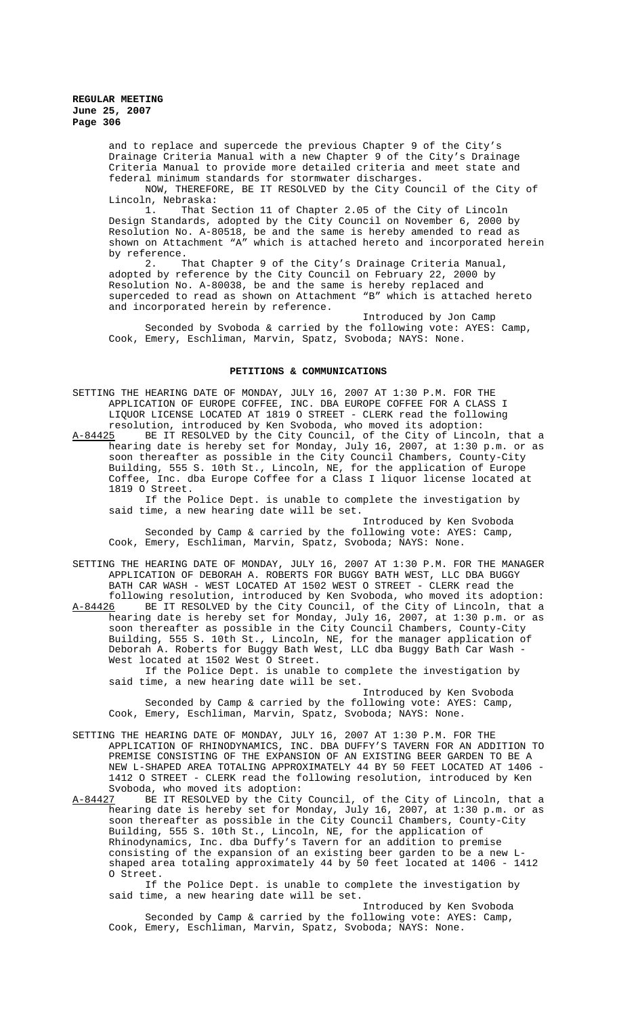> and to replace and supercede the previous Chapter 9 of the City's Drainage Criteria Manual with a new Chapter 9 of the City's Drainage Criteria Manual to provide more detailed criteria and meet state and federal minimum standards for stormwater discharges.

NOW, THEREFORE, BE IT RESOLVED by the City Council of the City of Lincoln, Nebraska:

1. That Section 11 of Chapter 2.05 of the City of Lincoln Design Standards, adopted by the City Council on November 6, 2000 by Resolution No. A-80518, be and the same is hereby amended to read as shown on Attachment "A" which is attached hereto and incorporated herein by reference.<br>7

That Chapter 9 of the City's Drainage Criteria Manual, adopted by reference by the City Council on February 22, 2000 by Resolution No. A-80038, be and the same is hereby replaced and superceded to read as shown on Attachment "B" which is attached hereto and incorporated herein by reference.

Introduced by Jon Camp Seconded by Svoboda & carried by the following vote: AYES: Camp, Cook, Emery, Eschliman, Marvin, Spatz, Svoboda; NAYS: None.

### **PETITIONS & COMMUNICATIONS**

SETTING THE HEARING DATE OF MONDAY, JULY 16, 2007 AT 1:30 P.M. FOR THE APPLICATION OF EUROPE COFFEE, INC. DBA EUROPE COFFEE FOR A CLASS I LIQUOR LICENSE LOCATED AT 1819 O STREET - CLERK read the following resolution, introduced by Ken Svoboda, who moved its adoption:

A-84425 BE IT RESOLVED by the City Council, of the City of Lincoln, that a hearing date is hereby set for Monday, July 16, 2007, at 1:30 p.m. or as soon thereafter as possible in the City Council Chambers, County-City Building, 555 S. 10th St., Lincoln, NE, for the application of Europe Coffee, Inc. dba Europe Coffee for a Class I liquor license located at 1819 O Street.

If the Police Dept. is unable to complete the investigation by said time, a new hearing date will be set.

Introduced by Ken Svoboda Seconded by Camp & carried by the following vote: AYES: Camp, Cook, Emery, Eschliman, Marvin, Spatz, Svoboda; NAYS: None.

SETTING THE HEARING DATE OF MONDAY, JULY 16, 2007 AT 1:30 P.M. FOR THE MANAGER APPLICATION OF DEBORAH A. ROBERTS FOR BUGGY BATH WEST, LLC DBA BUGGY BATH CAR WASH - WEST LOCATED AT 1502 WEST O STREET - CLERK read the

following resolution, introduced by Ken Svoboda, who moved its adoption: A-84426 BE IT RESOLVED by the City Council, of the City of Lincoln, that a hearing date is hereby set for Monday, July 16, 2007, at 1:30 p.m. or as soon thereafter as possible in the City Council Chambers, County-City Building, 555 S. 10th St., Lincoln, NE, for the manager application of Deborah A. Roberts for Buggy Bath West, LLC dba Buggy Bath Car Wash - West located at 1502 West O Street.

If the Police Dept. is unable to complete the investigation by said time, a new hearing date will be set.

Introduced by Ken Svoboda Seconded by Camp & carried by the following vote: AYES: Camp, Cook, Emery, Eschliman, Marvin, Spatz, Svoboda; NAYS: None.

SETTING THE HEARING DATE OF MONDAY, JULY 16, 2007 AT 1:30 P.M. FOR THE APPLICATION OF RHINODYNAMICS, INC. DBA DUFFY'S TAVERN FOR AN ADDITION TO PREMISE CONSISTING OF THE EXPANSION OF AN EXISTING BEER GARDEN TO BE A NEW L-SHAPED AREA TOTALING APPROXIMATELY 44 BY 50 FEET LOCATED AT 1406 - 1412 O STREET - CLERK read the following resolution, introduced by Ken Svoboda, who moved its adoption:

A-84427 BE IT RESOLVED by the City Council, of the City of Lincoln, that a hearing date is hereby set for Monday, July 16, 2007, at 1:30 p.m. or as soon thereafter as possible in the City Council Chambers, County-City Building, 555 S. 10th St., Lincoln, NE, for the application of Rhinodynamics, Inc. dba Duffy's Tavern for an addition to premise consisting of the expansion of an existing beer garden to be a new Lshaped area totaling approximately 44 by 50 feet located at 1406 - 1412 O Street.

If the Police Dept. is unable to complete the investigation by said time, a new hearing date will be set.

Introduced by Ken Svoboda Seconded by Camp & carried by the following vote: AYES: Camp, Cook, Emery, Eschliman, Marvin, Spatz, Svoboda; NAYS: None.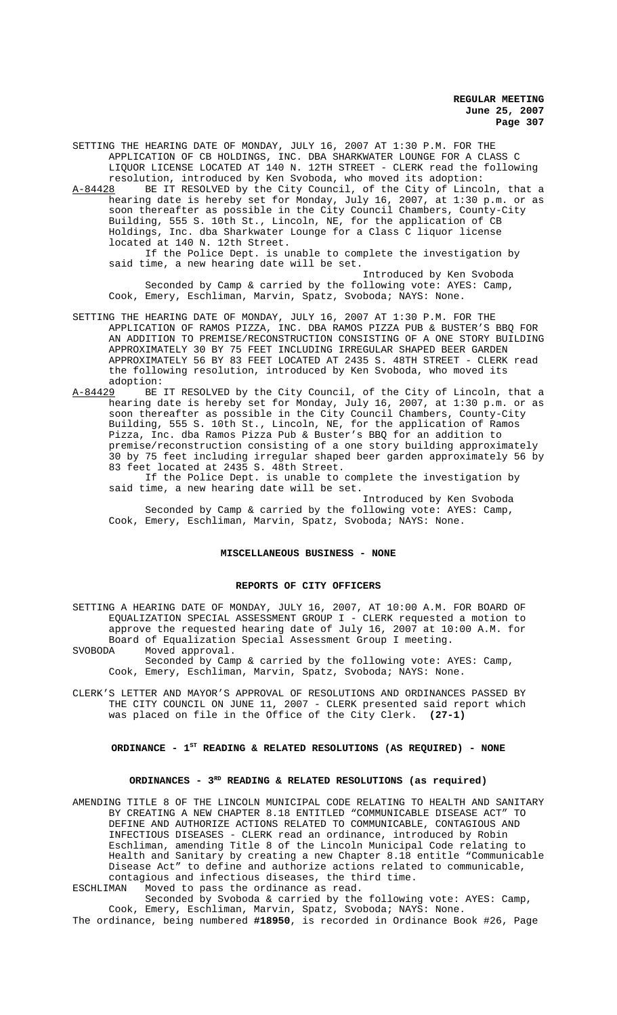SETTING THE HEARING DATE OF MONDAY, JULY 16, 2007 AT 1:30 P.M. FOR THE APPLICATION OF CB HOLDINGS, INC. DBA SHARKWATER LOUNGE FOR A CLASS C LIQUOR LICENSE LOCATED AT 140 N. 12TH STREET - CLERK read the following

resolution, introduced by Ken Svoboda, who moved its adoption:<br>A-84428 BE IT RESOLVED by the City Council, of the City of Linco A-84428 BE IT RESOLVED by the City Council, of the City of Lincoln, that a hearing date is hereby set for Monday, July 16, 2007, at 1:30 p.m. or as soon thereafter as possible in the City Council Chambers, County-City Building, 555 S. 10th St., Lincoln, NE, for the application of CB Holdings, Inc. dba Sharkwater Lounge for a Class C liquor license located at 140 N. 12th Street.

If the Police Dept. is unable to complete the investigation by said time, a new hearing date will be set.

Introduced by Ken Svoboda Seconded by Camp & carried by the following vote: AYES: Camp, Cook, Emery, Eschliman, Marvin, Spatz, Svoboda; NAYS: None.

- SETTING THE HEARING DATE OF MONDAY, JULY 16, 2007 AT 1:30 P.M. FOR THE APPLICATION OF RAMOS PIZZA, INC. DBA RAMOS PIZZA PUB & BUSTER'S BBQ FOR AN ADDITION TO PREMISE/RECONSTRUCTION CONSISTING OF A ONE STORY BUILDING APPROXIMATELY 30 BY 75 FEET INCLUDING IRREGULAR SHAPED BEER GARDEN APPROXIMATELY 56 BY 83 FEET LOCATED AT 2435 S. 48TH STREET - CLERK read the following resolution, introduced by Ken Svoboda, who moved its adoption:<br> $A-84429$  BE
- A-84429 BE IT RESOLVED by the City Council, of the City of Lincoln, that a hearing date is hereby set for Monday, July 16, 2007, at 1:30 p.m. or as soon thereafter as possible in the City Council Chambers, County-City Building, 555 S. 10th St., Lincoln, NE, for the application of Ramos Pizza, Inc. dba Ramos Pizza Pub & Buster's BBQ for an addition to premise/reconstruction consisting of a one story building approximately 30 by 75 feet including irregular shaped beer garden approximately 56 by 83 feet located at 2435 S. 48th Street.

If the Police Dept. is unable to complete the investigation by said time, a new hearing date will be set.

Introduced by Ken Svoboda Seconded by Camp & carried by the following vote: AYES: Camp, Cook, Emery, Eschliman, Marvin, Spatz, Svoboda; NAYS: None.

# **MISCELLANEOUS BUSINESS - NONE**

#### **REPORTS OF CITY OFFICERS**

SETTING A HEARING DATE OF MONDAY, JULY 16, 2007, AT 10:00 A.M. FOR BOARD OF EQUALIZATION SPECIAL ASSESSMENT GROUP I - CLERK requested a motion to approve the requested hearing date of July 16, 2007 at 10:00 A.M. for Board of Equalization Special Assessment Group I meeting.

SVOBODA Moved approval.

Seconded by Camp & carried by the following vote: AYES: Camp, Cook, Emery, Eschliman, Marvin, Spatz, Svoboda; NAYS: None.

CLERK'S LETTER AND MAYOR'S APPROVAL OF RESOLUTIONS AND ORDINANCES PASSED BY THE CITY COUNCIL ON JUNE 11, 2007 - CLERK presented said report which was placed on file in the Office of the City Clerk. **(27-1)**

## **ORDINANCE - 1ST READING & RELATED RESOLUTIONS (AS REQUIRED) - NONE**

## ORDINANCES - 3<sup>RD</sup> READING & RELATED RESOLUTIONS (as required)

AMENDING TITLE 8 OF THE LINCOLN MUNICIPAL CODE RELATING TO HEALTH AND SANITARY BY CREATING A NEW CHAPTER 8.18 ENTITLED "COMMUNICABLE DISEASE ACT" TO DEFINE AND AUTHORIZE ACTIONS RELATED TO COMMUNICABLE, CONTAGIOUS AND INFECTIOUS DISEASES - CLERK read an ordinance, introduced by Robin Eschliman, amending Title 8 of the Lincoln Municipal Code relating to Health and Sanitary by creating a new Chapter 8.18 entitle "Communicable Disease Act" to define and authorize actions related to communicable, contagious and infectious diseases, the third time.<br>ESCHLIMAN Moved to pass the ordinance as read.

Moved to pass the ordinance as read.

Seconded by Svoboda & carried by the following vote: AYES: Camp, Cook, Emery, Eschliman, Marvin, Spatz, Svoboda; NAYS: None. The ordinance, being numbered **#18950**, is recorded in Ordinance Book #26, Page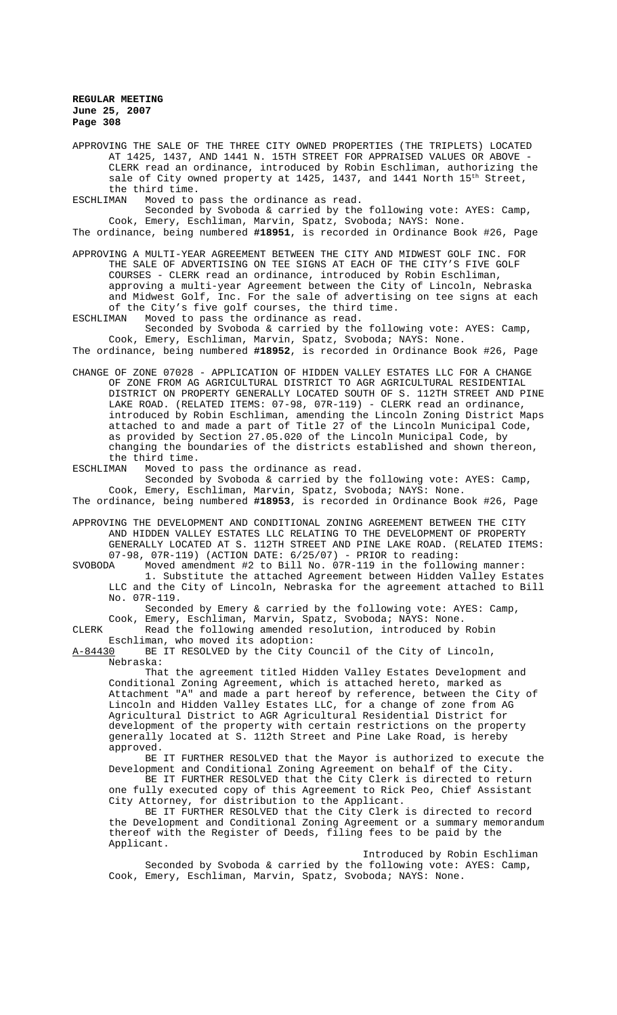APPROVING THE SALE OF THE THREE CITY OWNED PROPERTIES (THE TRIPLETS) LOCATED AT 1425, 1437, AND 1441 N. 15TH STREET FOR APPRAISED VALUES OR ABOVE - CLERK read an ordinance, introduced by Robin Eschliman, authorizing the sale of City owned property at 1425, 1437, and 1441 North 15<sup>th</sup> Street, the third time.<br>ESCHLIMAN Moved to 1

Moved to pass the ordinance as read.

Seconded by Svoboda & carried by the following vote: AYES: Camp, Cook, Emery, Eschliman, Marvin, Spatz, Svoboda; NAYS: None.

The ordinance, being numbered **#18951**, is recorded in Ordinance Book #26, Page

APPROVING A MULTI-YEAR AGREEMENT BETWEEN THE CITY AND MIDWEST GOLF INC. FOR THE SALE OF ADVERTISING ON TEE SIGNS AT EACH OF THE CITY'S FIVE GOLF COURSES - CLERK read an ordinance, introduced by Robin Eschliman, approving a multi-year Agreement between the City of Lincoln, Nebraska and Midwest Golf, Inc. For the sale of advertising on tee signs at each of the City's five golf courses, the third time.

ESCHLIMAN Moved to pass the ordinance as read. Seconded by Svoboda & carried by the following vote: AYES: Camp, Cook, Emery, Eschliman, Marvin, Spatz, Svoboda; NAYS: None.

The ordinance, being numbered **#18952**, is recorded in Ordinance Book #26, Page

- CHANGE OF ZONE 07028 APPLICATION OF HIDDEN VALLEY ESTATES LLC FOR A CHANGE OF ZONE FROM AG AGRICULTURAL DISTRICT TO AGR AGRICULTURAL RESIDENTIAL DISTRICT ON PROPERTY GENERALLY LOCATED SOUTH OF S. 112TH STREET AND PINE LAKE ROAD. (RELATED ITEMS: 07-98, 07R-119) - CLERK read an ordinance, introduced by Robin Eschliman, amending the Lincoln Zoning District Maps attached to and made a part of Title 27 of the Lincoln Municipal Code, as provided by Section 27.05.020 of the Lincoln Municipal Code, by changing the boundaries of the districts established and shown thereon, the third time.
- ESCHLIMAN Moved to pass the ordinance as read.

Seconded by Svoboda & carried by the following vote: AYES: Camp, Cook, Emery, Eschliman, Marvin, Spatz, Svoboda; NAYS: None. The ordinance, being numbered **#18953**, is recorded in Ordinance Book #26, Page

APPROVING THE DEVELOPMENT AND CONDITIONAL ZONING AGREEMENT BETWEEN THE CITY AND HIDDEN VALLEY ESTATES LLC RELATING TO THE DEVELOPMENT OF PROPERTY GENERALLY LOCATED AT S. 112TH STREET AND PINE LAKE ROAD. (RELATED ITEMS:

07-98, 07R-119) (ACTION DATE: 6/25/07) - PRIOR to reading:<br>SVOBODA Moved amendment #2 to Bill No. 07R-119 in the follow Moved amendment #2 to Bill No. 07R-119 in the following manner: 1. Substitute the attached Agreement between Hidden Valley Estates LLC and the City of Lincoln, Nebraska for the agreement attached to Bill No. 07R-119.

Seconded by Emery & carried by the following vote: AYES: Camp, Cook, Emery, Eschliman, Marvin, Spatz, Svoboda; NAYS: None. CLERK Read the following amended resolution, introduced by Robin

Eschliman, who moved its adoption:<br>A-84430 BE IT RESOLVED by the City C BE IT RESOLVED by the City Council of the City of Lincoln, Nebraska:

That the agreement titled Hidden Valley Estates Development and Conditional Zoning Agreement, which is attached hereto, marked as Attachment "A" and made a part hereof by reference, between the City of Lincoln and Hidden Valley Estates LLC, for a change of zone from AG Agricultural District to AGR Agricultural Residential District for development of the property with certain restrictions on the property generally located at S. 112th Street and Pine Lake Road, is hereby approved.

BE IT FURTHER RESOLVED that the Mayor is authorized to execute the Development and Conditional Zoning Agreement on behalf of the City.

BE IT FURTHER RESOLVED that the City Clerk is directed to return one fully executed copy of this Agreement to Rick Peo, Chief Assistant City Attorney, for distribution to the Applicant.

BE IT FURTHER RESOLVED that the City Clerk is directed to record the Development and Conditional Zoning Agreement or a summary memorandum thereof with the Register of Deeds, filing fees to be paid by the Applicant.

Introduced by Robin Eschliman Seconded by Svoboda & carried by the following vote: AYES: Camp, Cook, Emery, Eschliman, Marvin, Spatz, Svoboda; NAYS: None.